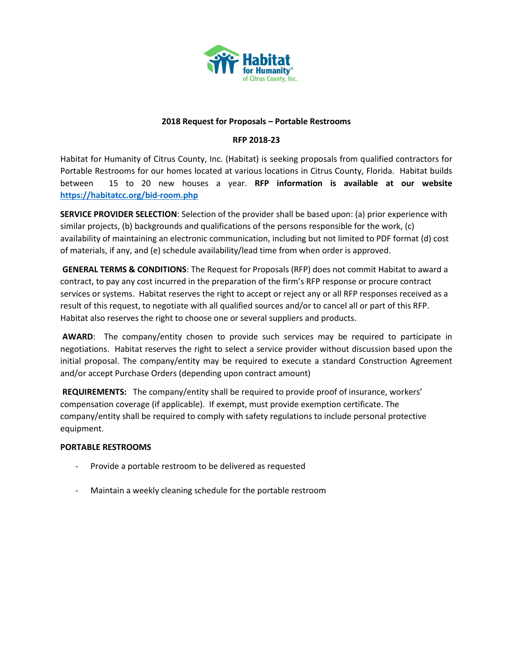

### **2018 Request for Proposals – Portable Restrooms**

# **RFP 2018-23**

Habitat for Humanity of Citrus County, Inc. (Habitat) is seeking proposals from qualified contractors for Portable Restrooms for our homes located at various locations in Citrus County, Florida. Habitat builds between 15 to 20 new houses a year. **RFP information is available at our website <https://habitatcc.org/bid-room.php>**

**SERVICE PROVIDER SELECTION**: Selection of the provider shall be based upon: (a) prior experience with similar projects, (b) backgrounds and qualifications of the persons responsible for the work, (c) availability of maintaining an electronic communication, including but not limited to PDF format (d) cost of materials, if any, and (e) schedule availability/lead time from when order is approved.

**GENERAL TERMS & CONDITIONS**: The Request for Proposals (RFP) does not commit Habitat to award a contract, to pay any cost incurred in the preparation of the firm's RFP response or procure contract services or systems. Habitat reserves the right to accept or reject any or all RFP responses received as a result of this request, to negotiate with all qualified sources and/or to cancel all or part of this RFP. Habitat also reserves the right to choose one or several suppliers and products.

**AWARD**: The company/entity chosen to provide such services may be required to participate in negotiations. Habitat reserves the right to select a service provider without discussion based upon the initial proposal. The company/entity may be required to execute a standard Construction Agreement and/or accept Purchase Orders (depending upon contract amount)

**REQUIREMENTS:** The company/entity shall be required to provide proof of insurance, workers' compensation coverage (if applicable). If exempt, must provide exemption certificate. The company/entity shall be required to comply with safety regulations to include personal protective equipment.

# **PORTABLE RESTROOMS**

- Provide a portable restroom to be delivered as requested
- Maintain a weekly cleaning schedule for the portable restroom